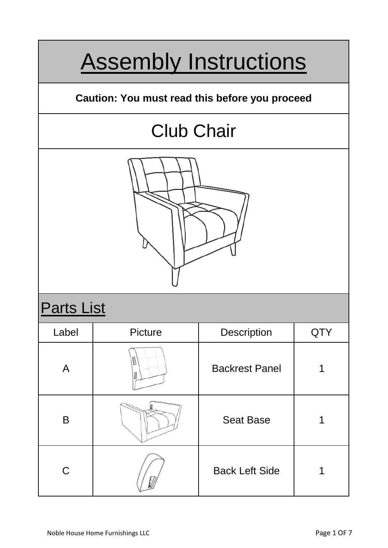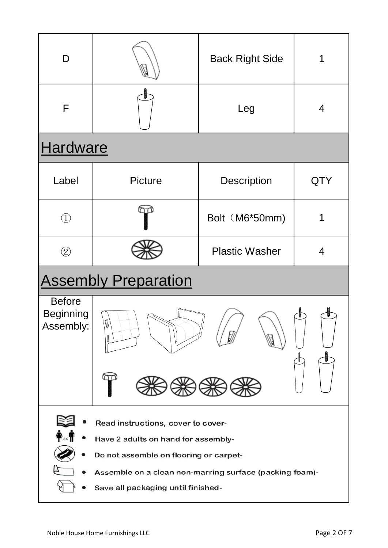| D                                                                                                                                                                                                                    |                | <b>Back Right Side</b> |     |
|----------------------------------------------------------------------------------------------------------------------------------------------------------------------------------------------------------------------|----------------|------------------------|-----|
| F                                                                                                                                                                                                                    |                | Leg                    | 4   |
| Hardware                                                                                                                                                                                                             |                |                        |     |
| Label                                                                                                                                                                                                                | <b>Picture</b> | <b>Description</b>     | QTY |
| $\textcircled{\scriptsize{1}}$                                                                                                                                                                                       |                | Bolt (M6*50mm)         | 1   |
| $\circled{2}$                                                                                                                                                                                                        |                | <b>Plastic Washer</b>  | 4   |
| <b>Assembly Preparation</b>                                                                                                                                                                                          |                |                        |     |
| <b>Before</b><br><b>Beginning</b><br>M<br>Assembly:<br>₩<br>I                                                                                                                                                        |                |                        |     |
| Read instructions, cover to cover-<br>Have 2 adults on hand for assembly-<br>Do not assemble on flooring or carpet-<br>Assemble on a clean non-marring surface (packing foam)-<br>Save all packaging until finished- |                |                        |     |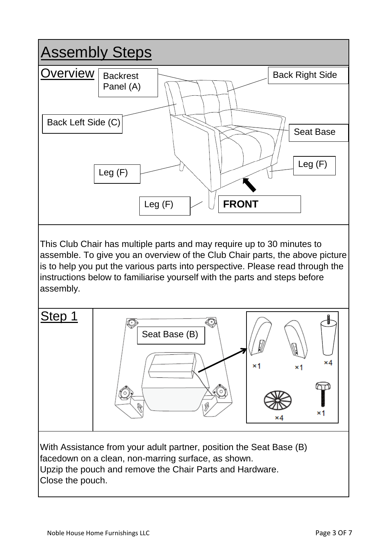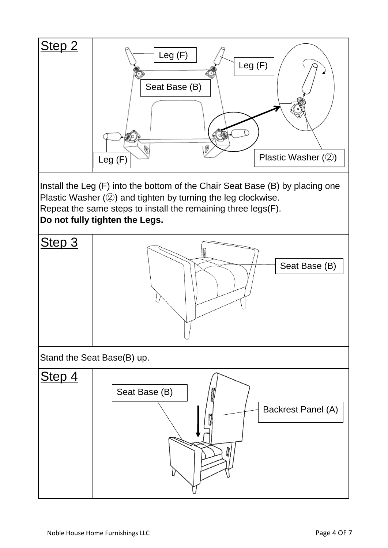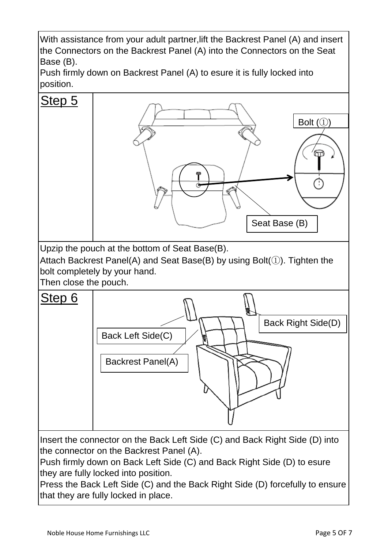With assistance from your adult partner,lift the Backrest Panel (A) and insert the Connectors on the Backrest Panel (A) into the Connectors on the Seat Base (B).



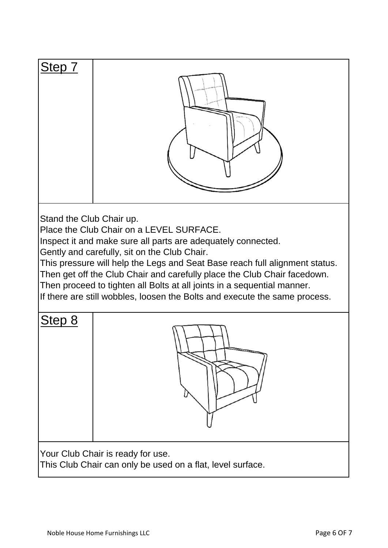